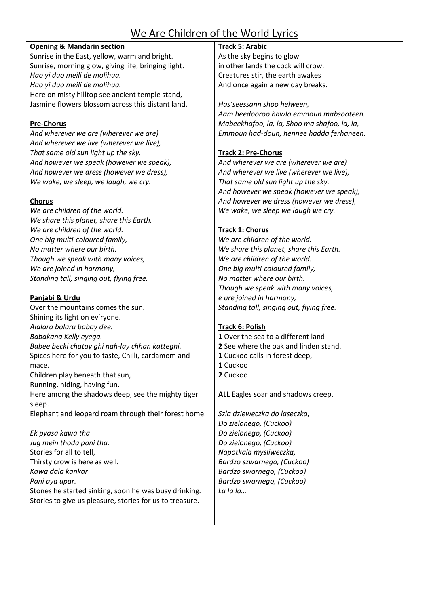# We Are Children of the World Lyrics

### **Opening & Mandarin section**

Sunrise in the East, yellow, warm and bright. Sunrise, morning glow, giving life, bringing light. *Hao yi duo meili de molihua. Hao yi duo meili de molihua.* Here on misty hilltop see ancient temple stand, Jasmine flowers blossom across this distant land.

# **Pre-Chorus**

*And wherever we are (wherever we are) And wherever we live (wherever we live), That same old sun light up the sky. And however we speak (however we speak), And however we dress (however we dress), We wake, we sleep, we laugh, we cry.*

# **Chorus**

*We are children of the world. We share this planet, share this Earth. We are children of the world. One big multi-coloured family, No matter where our birth. Though we speak with many voices, We are joined in harmony, Standing tall, singing out, flying free.*

# **Panjabi & Urdu**

Over the mountains comes the sun. Shining its light on ev'ryone. *Alalara balara babay dee. Babakana Kelly eyega. Babee becki chatay ghi nah-lay chhan katteghi.* Spices here for you to taste, Chilli, cardamom and mace. Children play beneath that sun, Running, hiding, having fun. Here among the shadows deep, see the mighty tiger sleep. Elephant and leopard roam through their forest home. *Ek pyasa kawa tha*

*Jug mein thoda pani tha.* Stories for all to tell, Thirsty crow is here as well. *Kawa dala kankar Pani aya upar.*  Stones he started sinking, soon he was busy drinking. Stories to give us pleasure, stories for us to treasure.

# **Track 5: Arabic**

As the sky begins to glow in other lands the cock will crow. Creatures stir, the earth awakes And once again a new day breaks.

*Has'seessann shoo helween, Aam beedooroo hawla emmoun mabsooteen. Mabeekhafoo, la, la, Shoo ma shafoo, la, la, Emmoun had-doun, hennee hadda ferhaneen.* 

# **Track 2: Pre-Chorus**

*And wherever we are (wherever we are) And wherever we live (wherever we live), That same old sun light up the sky. And however we speak (however we speak), And however we dress (however we dress), We wake, we sleep we laugh we cry.*

# **Track 1: Chorus**

*We are children of the world. We share this planet, share this Earth. We are children of the world. One big multi-coloured family, No matter where our birth. Though we speak with many voices, e are joined in harmony, Standing tall, singing out, flying free.*

### **Track 6: Polish**

- **1** Over the sea to a different land
- **2** See where the oak and linden stand.
- **1** Cuckoo calls in forest deep,
- **1** Cuckoo
- **2** Cuckoo

**ALL** Eagles soar and shadows creep.

*Szla dzieweczka do laseczka, Do zielonego, (Cuckoo) Do zielonego, (Cuckoo) Do zielonego, (Cuckoo) Napotkala mysliweczka, Bardzo szwarnego, (Cuckoo) Bardzo swarnego, (Cuckoo) Bardzo swarnego, (Cuckoo) La la la…*